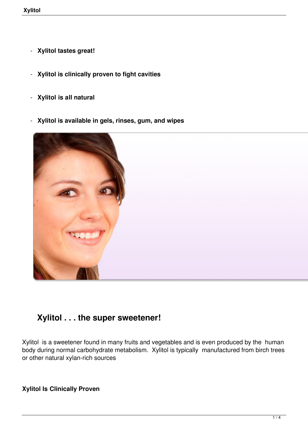- **Xylitol tastes great!**
- **Xylitol is clinically proven to fight cavities**
- **Xylitol is all natural**
- **Xylitol is available in gels, rinses, gum, and wipes**



# **Xylitol . . . the super sweetener!**

Xylitol is a sweetener found in many fruits and vegetables and is even produced by the human body during normal carbohydrate metabolism. Xylitol is typically manufactured from birch trees or other natural xylan-rich sources

**Xylitol Is Clinically Proven**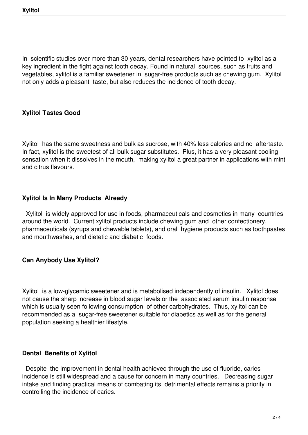In scientific studies over more than 30 years, dental researchers have pointed to xylitol as a key ingredient in the fight against tooth decay. Found in natural sources, such as fruits and vegetables, xylitol is a familiar sweetener in sugar-free products such as chewing gum. Xylitol not only adds a pleasant taste, but also reduces the incidence of tooth decay.

## **Xylitol Tastes Good**

Xylitol has the same sweetness and bulk as sucrose, with 40% less calories and no aftertaste. In fact, xylitol is the sweetest of all bulk sugar substitutes. Plus, it has a very pleasant cooling sensation when it dissolves in the mouth, making xylitol a great partner in applications with mint and citrus flavours.

## **Xylitol Is In Many Products Already**

 Xylitol is widely approved for use in foods, pharmaceuticals and cosmetics in many countries around the world. Current xylitol products include chewing gum and other confectionery, pharmaceuticals (syrups and chewable tablets), and oral hygiene products such as toothpastes and mouthwashes, and dietetic and diabetic foods.

#### **Can Anybody Use Xylitol?**

Xylitol is a low-glycemic sweetener and is metabolised independently of insulin. Xylitol does not cause the sharp increase in blood sugar levels or the associated serum insulin response which is usually seen following consumption of other carbohydrates. Thus, xylitol can be recommended as a sugar-free sweetener suitable for diabetics as well as for the general population seeking a healthier lifestyle.

#### **Dental Benefits of Xylitol**

 Despite the improvement in dental health achieved through the use of fluoride, caries incidence is still widespread and a cause for concern in many countries. Decreasing sugar intake and finding practical means of combating its detrimental effects remains a priority in controlling the incidence of caries.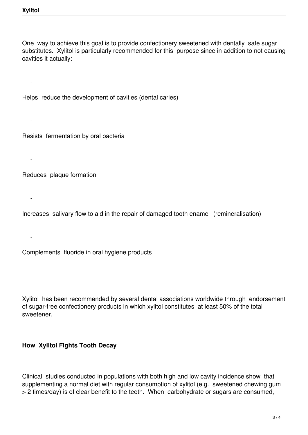$\sim$   $-$ 

 $\sim$   $-$ 

 $\sim$   $-$ 

 $\sim$   $-$ 

 $\sim$   $-$ 

One way to achieve this goal is to provide confectionery sweetened with dentally safe sugar substitutes. Xylitol is particularly recommended for this purpose since in addition to not causing cavities it actually:

Helps reduce the development of cavities (dental caries)

Resists fermentation by oral bacteria

Reduces plaque formation

Increases salivary flow to aid in the repair of damaged tooth enamel (remineralisation)

Complements fluoride in oral hygiene products

Xylitol has been recommended by several dental associations worldwide through endorsement of sugar-free confectionery products in which xylitol constitutes at least 50% of the total sweetener.

#### **How Xylitol Fights Tooth Decay**

Clinical studies conducted in populations with both high and low cavity incidence show that supplementing a normal diet with regular consumption of xylitol (e.g. sweetened chewing gum > 2 times/day) is of clear benefit to the teeth. When carbohydrate or sugars are consumed,